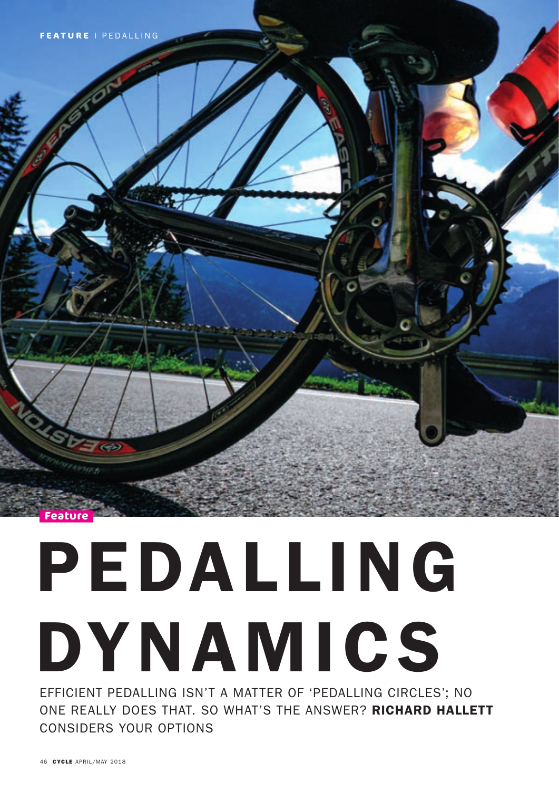

# PEDALLING DYNAMICS

EFFICIENT PEDALLING ISN'T A MATTER OF 'PEDALLING CIRCLES'; NO ONE REALLY DOES THAT. SO WHAT'S THE ANSWER? RICHARD HALLETT CONSIDERS YOUR OPTIONS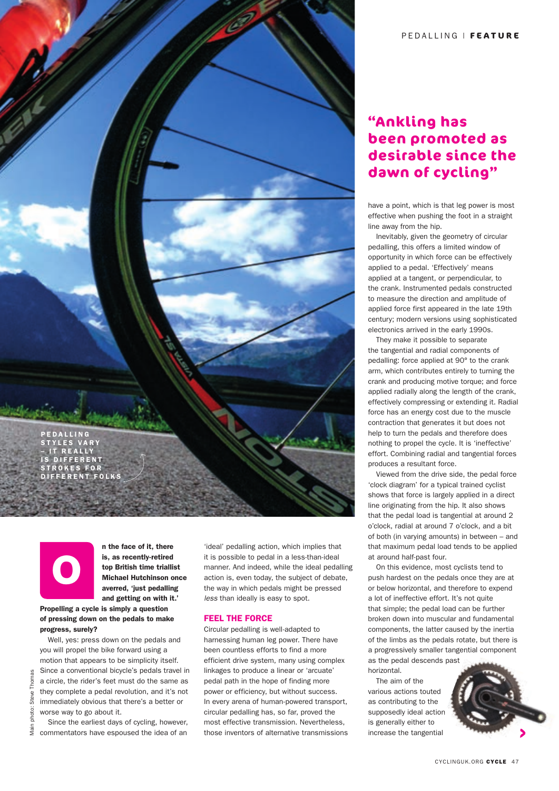



Main photo: Steve Thomas

Thomas Steve<sup>-</sup> photo: Main n the face of it, there is, as recently-retired top British time triallist Michael Hutchinson once averred, 'just pedalling and getting on with it.'

## Propelling a cycle is simply a question of pressing down on the pedals to make progress, surely?

 Well, yes: press down on the pedals and you will propel the bike forward using a motion that appears to be simplicity itself. Since a conventional bicycle's pedals travel in a circle, the rider's feet must do the same as they complete a pedal revolution, and it's not immediately obvious that there's a better or worse way to go about it.

 Since the earliest days of cycling, however, commentators have espoused the idea of an

'ideal' pedalling action, which implies that it is possible to pedal in a less-than-ideal manner. And indeed, while the ideal pedalling action is, even today, the subject of debate, the way in which pedals might be pressed *less* than ideally is easy to spot.

### FEEL THE FORCE

Circular pedalling is well-adapted to harnessing human leg power. There have been countless efforts to find a more efficient drive system, many using complex linkages to produce a linear or 'arcuate' pedal path in the hope of finding more power or efficiency, but without success. In every arena of human-powered transport, circular pedalling has, so far, proved the most effective transmission. Nevertheless, those inventors of alternative transmissions

# **"Ankling has been promoted as desirable since the dawn of cycling"**

have a point, which is that leg power is most effective when pushing the foot in a straight line away from the hip.

 Inevitably, given the geometry of circular pedalling, this offers a limited window of opportunity in which force can be effectively applied to a pedal. 'Effectively' means applied at a tangent, or perpendicular, to the crank. Instrumented pedals constructed to measure the direction and amplitude of applied force first appeared in the late 19th century; modern versions using sophisticated electronics arrived in the early 1990s.

 They make it possible to separate the tangential and radial components of pedalling: force applied at 90° to the crank arm, which contributes entirely to turning the crank and producing motive torque; and force applied radially along the length of the crank, effectively compressing or extending it. Radial force has an energy cost due to the muscle contraction that generates it but does not help to turn the pedals and therefore does nothing to propel the cycle. It is 'ineffective' effort. Combining radial and tangential forces produces a resultant force.

 Viewed from the drive side, the pedal force 'clock diagram' for a typical trained cyclist shows that force is largely applied in a direct line originating from the hip. It also shows that the pedal load is tangential at around 2 o'clock, radial at around 7 o'clock, and a bit of both (in varying amounts) in between – and that maximum pedal load tends to be applied at around half-past four.

 On this evidence, most cyclists tend to push hardest on the pedals once they are at or below horizontal, and therefore to expend a lot of ineffective effort. It's not quite that simple; the pedal load can be further broken down into muscular and fundamental components, the latter caused by the inertia of the limbs as the pedals rotate, but there is a progressively smaller tangential component as the pedal descends past horizontal.

 The aim of the various actions touted as contributing to the supposedly ideal action is generally either to increase the tangential

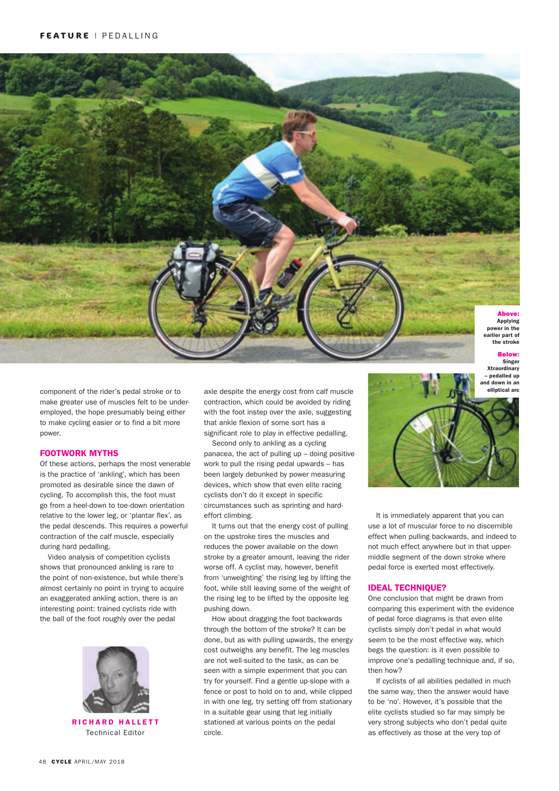

component of the rider's pedal stroke or to make greater use of muscles felt to be underemployed, the hope presumably being either to make cycling easier or to find a bit more power.

### FOOTWORK MYTHS

Of these actions, perhaps the most venerable is the practice of 'ankling', which has been promoted as desirable since the dawn of cycling. To accomplish this, the foot must go from a heel-down to toe-down orientation relative to the lower leg, or 'plantar flex', as the pedal descends. This requires a powerful contraction of the calf muscle, especially during hard pedalling.

 Video analysis of competition cyclists shows that pronounced ankling is rare to the point of non-existence, but while there's almost certainly no point in trying to acquire an exaggerated ankling action, there is an interesting point: trained cyclists ride with the ball of the foot roughly over the pedal



**RICHARD HALLETT** Technical Editor

axle despite the energy cost from calf muscle contraction, which could be avoided by riding with the foot instep over the axle, suggesting that ankle flexion of some sort has a significant role to play in effective pedalling.

 Second only to ankling as a cycling panacea, the act of pulling up – doing positive work to pull the rising pedal upwards – has been largely debunked by power measuring devices, which show that even elite racing cyclists don't do it except in specific circumstances such as sprinting and hardeffort climbing.

 It turns out that the energy cost of pulling on the upstroke tires the muscles and reduces the power available on the down stroke by a greater amount, leaving the rider worse off. A cyclist may, however, benefit from 'unweighting' the rising leg by lifting the foot, while still leaving some of the weight of the rising leg to be lifted by the opposite leg pushing down.

 How about dragging the foot backwards through the bottom of the stroke? It can be done, but as with pulling upwards, the energy cost outweighs any benefit. The leg muscles are not well-suited to the task, as can be seen with a simple experiment that you can try for yourself. Find a gentle up-slope with a fence or post to hold on to and, while clipped in with one leg, try setting off from stationary in a suitable gear using that leg initially stationed at various points on the pedal circle.



 It is immediately apparent that you can use a lot of muscular force to no discernible effect when pulling backwards, and indeed to not much effect anywhere but in that uppermiddle segment of the down stroke where pedal force is exerted most effectively.

### IDEAL TECHNIQUE?

One conclusion that might be drawn from comparing this experiment with the evidence of pedal force diagrams is that even elite cyclists simply don't pedal in what would seem to be the most effective way, which begs the question: is it even possible to improve one's pedalling technique and, if so, then how?

 If cyclists of all abilities pedalled in much the same way, then the answer would have to be 'no'. However, it's possible that the elite cyclists studied so far may simply be very strong subjects who don't pedal quite as effectively as those at the very top of